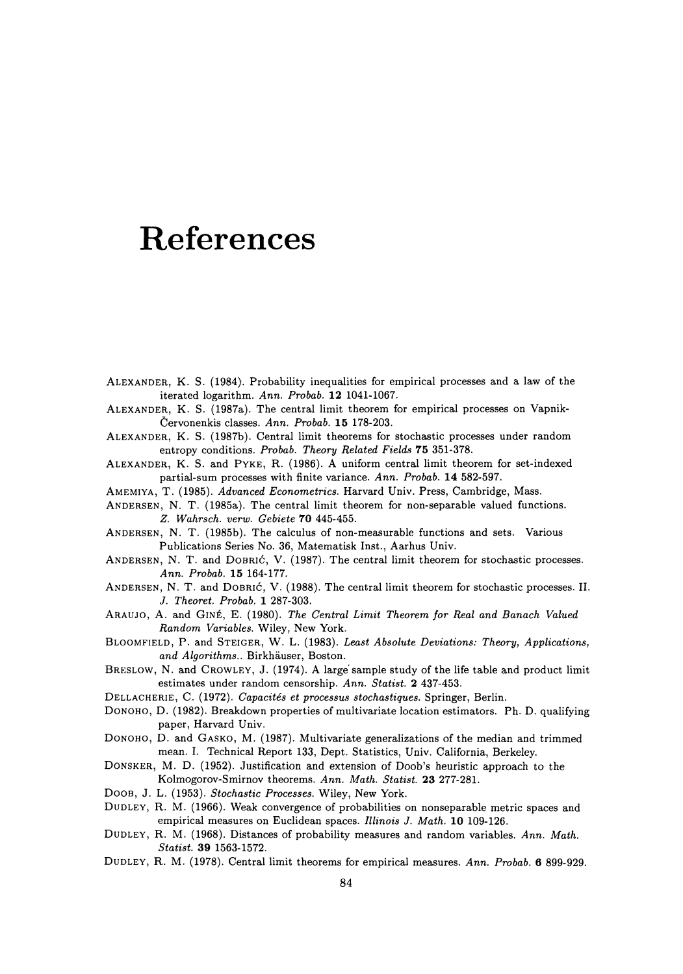## **References**

- ALEXANDER, K. S. (1984). Probability inequalities for empirical processes and a law of the iterated logarithm. *Ann. Probab.* **12** 1041-1067.
- ALEXANDER, K. S. (1987a). The central limit theorem for empirical processes on Vapnik-Cervonenkis classes. *Ann. Probab.* 15 178-203.

ALEXANDER, K. S. (1987b). Central limit theorems for stochastic processes under random entropy conditions. *Probab. Theory Related Fields 15* 351-378.

- ALEXANDER, K. S. and PYKE, R. (1986). A uniform central limit theorem for set-indexed partial-sum processes with finite variance. *Ann. Probab.* 14 582-597.
- AMEMIYA, T. (1985). *Advanced Econometrics.* Harvard Univ. Press, Cambridge, Mass.
- ANDERSEN, N. T. (1985a). The central limit theorem for non-separable valued functions. *Z. Wahrsch. verw. Gebiete 10* 445-455.
- ANDERSEN, N. T. (1985b). The calculus of non-measurable functions and sets. Various Publications Series No. 36, Matematisk Inst., Aarhus Univ.
- ANDERSEN, N. T. and DOBRIĆ, V. (1987). The central limit theorem for stochastic processes. *Ann. Probab.* **15** 164-177.
- ANDERSEN, N. T. and DOBRIC, V. (1988). The central limit theorem for stochastic processes. II. J. *Theoret. Probab.* **1** 287-303.
- ARAUJO, A. and GINE, E. (1980). *The Central Limit Theorem for Real and Banach Valued Random Variables.* Wiley, New York.
- BLOOMFIELD, P. and STEIGER, W. L. (1983). *Least Absolute Deviations: Theory, Applications, and Algorithms ..* Birkhauser, Boston.
- BRESLOW, N. and CROWLEY, J. (1974). A large sample study of the life table and product limit estimates under random censorship. *Ann. Statist.* **2** 437-453.
- DELLACHERIE, C. (1972). *Capacites et processus stochastiques.* Springer, Berlin.
- DONOHO, D. (1982). Breakdown properties of multivariate location estimators. Ph. D. qualifying paper, Harvard Univ.
- DONOHO, D. and GASKO, M. (1987). Multivariate generalizations of the median and trimmed mean. I. Technical Report 133, Dept. Statistics, Univ. California, Berkeley.
- DONSKER, M. D. (1952). Justification and extension of Doob's heuristic approach to the Kolmogorov-Smirnov theorems. *Ann. Math. Statist.* 23 277-281.
- DOOB, J. L. (1953). *Stochastic Processes.* Wiley, New York.
- DUDLEY, R. M. (1966). Weak convergence of probabilities on nonseparable metric spaces and empirical measures on Euclidean spaces. *Illinois* J. *Math.* **10** 109-126.
- DUDLEY, R. M. (1968). Distances of probability measures and random variables. *Ann. Math. Statist.* 39 1563-1572.
- DUDLEY, R. M. (1978). Central limit theorems for empirical measures. *Ann. Probab.* 6 899-929.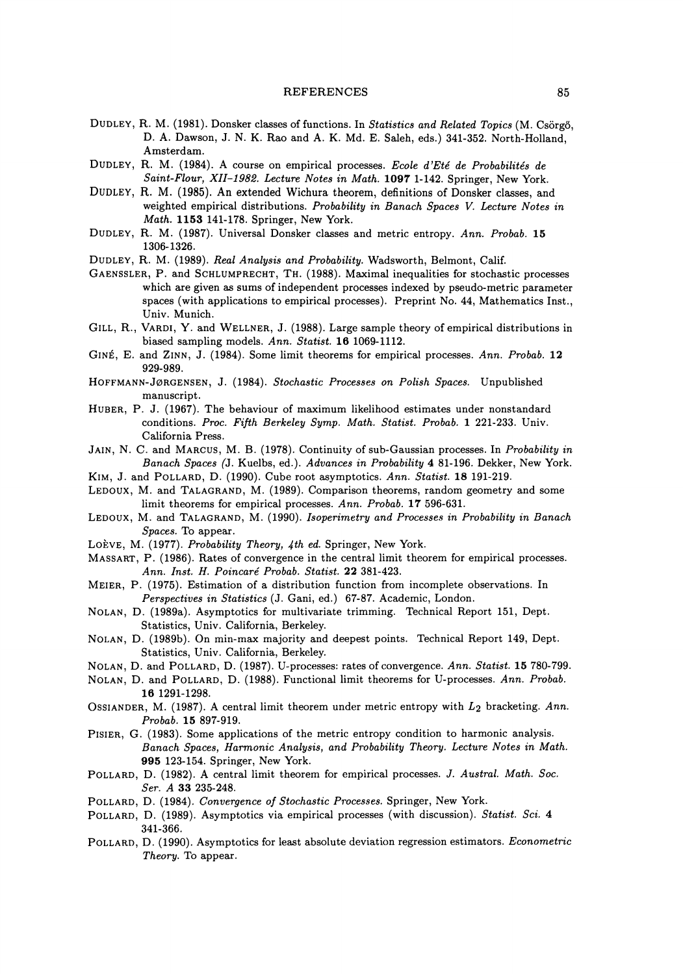## REFERENCES 85

- DUDLEY, R. M. (1981). Donsker classes offunctions. In *Statistics and Related Topics* (M. Csorgo, D. A. Dawson, J. N. K. Rao and A. K. Md. E. Saleh, eds.) 341-352. North-Holland, Amsterdam.
- DUDLEY, R. M. (1984). A course on empirical processes. *Ecole d'Ete de Probabilites de Saint-Flour, XII-1982. Lecture Notes in Math.* **1097** 1-142. Springer, New York.
- DUDLEY, R. M. (1985). An extended Wichura theorem, definitions of Donsker classes, and weighted empirical distributions. *Probability in Banach Spaces V. Lecture Notes in Math.* **1153** 141-178. Springer, New York.
- DUDLEY, R. M. (1987). Universal Donsker classes and metric entropy. *Ann. Probab.* 15 1306-1326.
- DUDLEY, R. M. (1989). *Real Analysis and Probability.* Wadsworth, Belmont, Calif.
- GAENSSLER, P. and SCHLUMPRECHT, TH. (1988). Maximal inequalities for stochastic processes which are given as sums of independent processes indexed by pseudo-metric parameter spaces (with applications to empirical processes). Preprint No. 44, Mathematics Inst., Univ. Munich.
- GILL, R., VARDI, Y. and WELLNER, J. (1988). Large sample theory of empirical distributions in biased sampling models. *Ann. Statist.* **16** 1069-1112.
- GINE, E. and ZINN, J. (1984). Some limit theorems for empirical processes. *Ann. Probab.* 12 929-989.
- HOF'F'MANN-J0RGENSEN, J. (1984). *Stochastic Processes on Polish Spaces.* Unpublished manuscript.
- HUBER, P. J. (1967). The behaviour of maximum likelihood estimates under nonstandard conditions. *Proc. Fifth Berkeley Symp. Math. Statist. Probab.* 1 221-233. Univ. California Press.
- JAIN, N. C. and MARCUS, M. B. (1978). Continuity of sub-Gaussian processes. In *Probability in Banach Spaces* (J. Kuelbs, ed.). *Advances in Probability* **4** 81-196. Dekker, New York.
- KIM, J. and POLLARD, D. (1990). Cube root asymptotics. *Ann. Statist.* **18** 191-219.
- LEDOUX, M. and TALAGRAND, M. (1989). Comparison theorems, random geometry and some limit theorems for empirical processes. *Ann. Probab.* **17** 596-631.
- LEDOUX, M. and TALAGRAND, M. (1990). *Isoperimetry and Processes in Probability in Banach Spaces.* To appear.
- LOÈVE, M. (1977). *Probability Theory, 4th ed.* Springer, New York.
- MASSART, P. (1986). Rates of convergence in the central limit theorem for empirical processes. *Ann. Inst. H. Poincare Probab. Statist.* **22** 381-423.
- MEIER, P. (1975). Estimation of a distribution function from incomplete observations. In *Perspectives in Statistics* (J. Gani, ed.) 67-87. Academic, London.
- NOLAN, D. (1989a). Asymptotics for multivariate trimming. Technical Report 151, Dept. Statistics, Univ. California, Berkeley.
- NOLAN, D. (1989b). On min-max majority and deepest points. Technical Report 149, Dept. Statistics, Univ. California, Berkeley.
- NOLAN, D. and POLLARD, D. (1987). U-processes: rates of convergence. *Ann. Statist.* 15 780-799.
- NOLAN, D. and POLLARD, D. (1988). Functional limit theorems for U-processes. *Ann. Probab.*  **16** 1291-1298.
- OSSIANDER, M. (1987). A central limit theorem under metric entropy with L2 bracketing. *Ann. Probab.* **15** 897-919.
- PISIER, G. (1983). Some applications of the metric entropy condition to harmonic analysis. *Banach Spaces, Harmonic Analysis, and Probability Theory. Lecture Notes in Math.*  **995** 123-154. Springer, New York.
- POLLARD, D. (1982). A central limit theorem for empirical processes. J. *Austral. Math. Soc. Ser. A* 33 235-248.
- POLLARD, D. (1984). *Convergence of Stochastic Processes.* Springer, New York.
- POLLARD, D. (1989). Asymptotics via empirical processes (with discussion). *Statist. Sci.* 4 341-366.
- POLLARD, D. (1990). Asymptotics for least absolute deviation regression estimators. *Econometric Theory.* To appear.